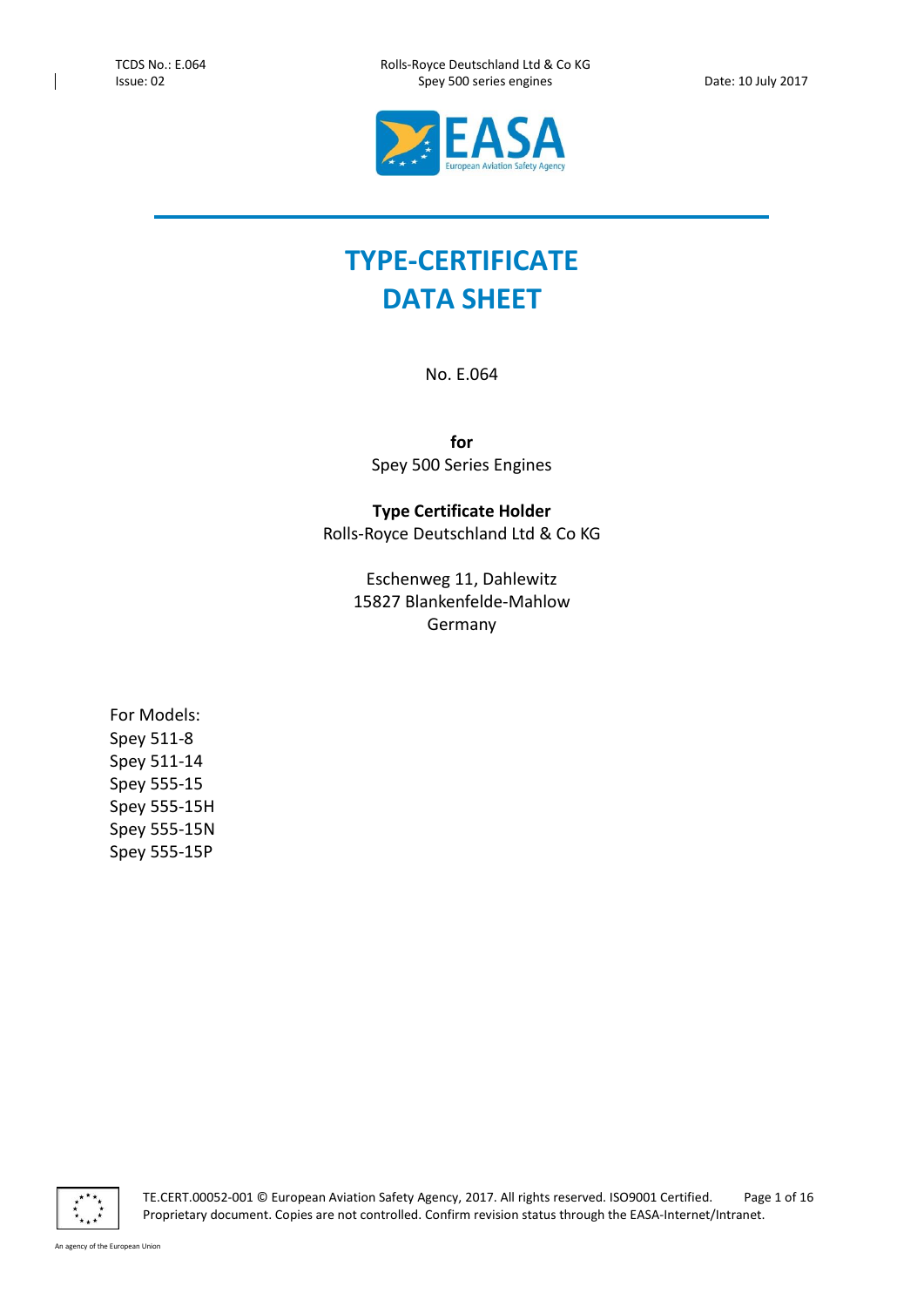

# **TYPE-CERTIFICATE DATA SHEET**

No. E.064

**for** Spey 500 Series Engines

# **Type Certificate Holder**

Rolls-Royce Deutschland Ltd & Co KG

Eschenweg 11, Dahlewitz 15827 Blankenfelde-Mahlow Germany

For Models: Spey 511-8 Spey 511-14 Spey 555-15 Spey 555-15H Spey 555-15N Spey 555-15P

TE.CERT.00052-001 © European Aviation Safety Agency, 2017. All rights reserved. ISO9001 Certified. Page 1 of 16 Proprietary document. Copies are not controlled. Confirm revision status through the EASA-Internet/Intranet.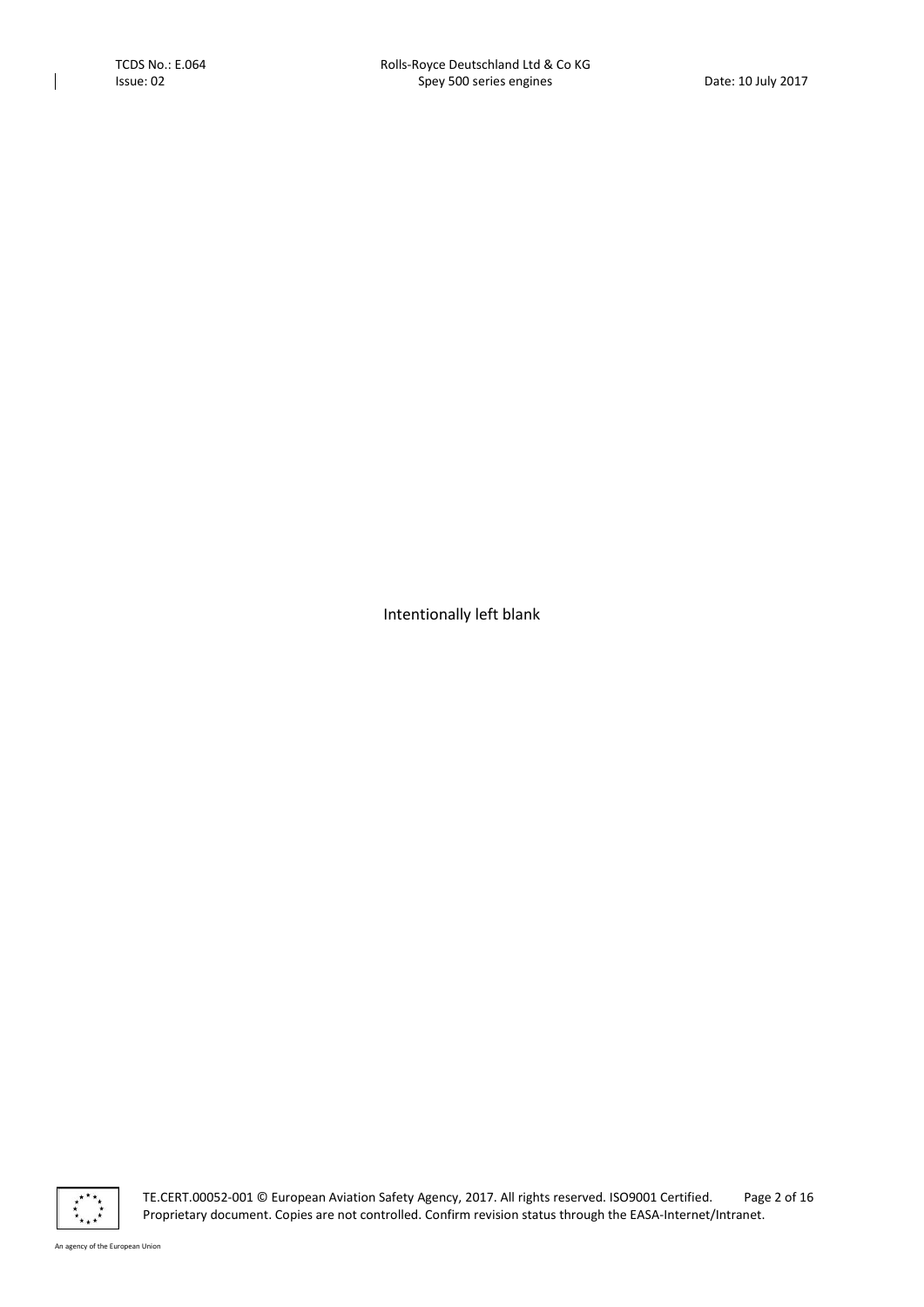Intentionally left blank



TE.CERT.00052-001 © European Aviation Safety Agency, 2017. All rights reserved. ISO9001 Certified. Page 2 of 16 Proprietary document. Copies are not controlled. Confirm revision status through the EASA-Internet/Intranet.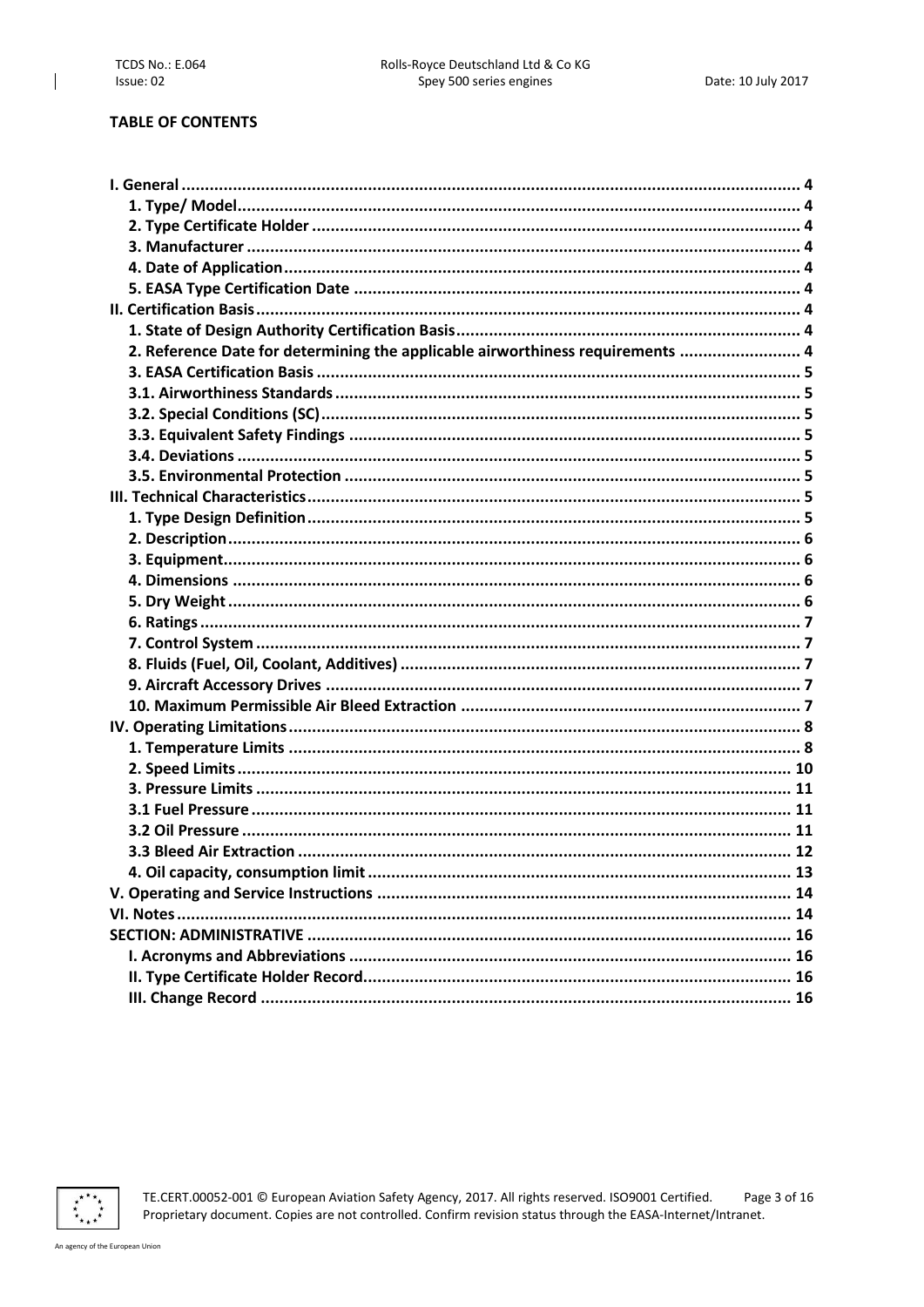# **TABLE OF CONTENTS**

| 2. Reference Date for determining the applicable airworthiness requirements  4 |
|--------------------------------------------------------------------------------|
|                                                                                |
|                                                                                |
|                                                                                |
|                                                                                |
|                                                                                |
|                                                                                |
|                                                                                |
|                                                                                |
|                                                                                |
|                                                                                |
|                                                                                |
|                                                                                |
|                                                                                |
|                                                                                |
|                                                                                |
|                                                                                |
|                                                                                |
|                                                                                |
|                                                                                |
|                                                                                |
|                                                                                |
|                                                                                |
|                                                                                |
|                                                                                |
|                                                                                |
|                                                                                |
|                                                                                |
|                                                                                |
|                                                                                |
|                                                                                |
|                                                                                |

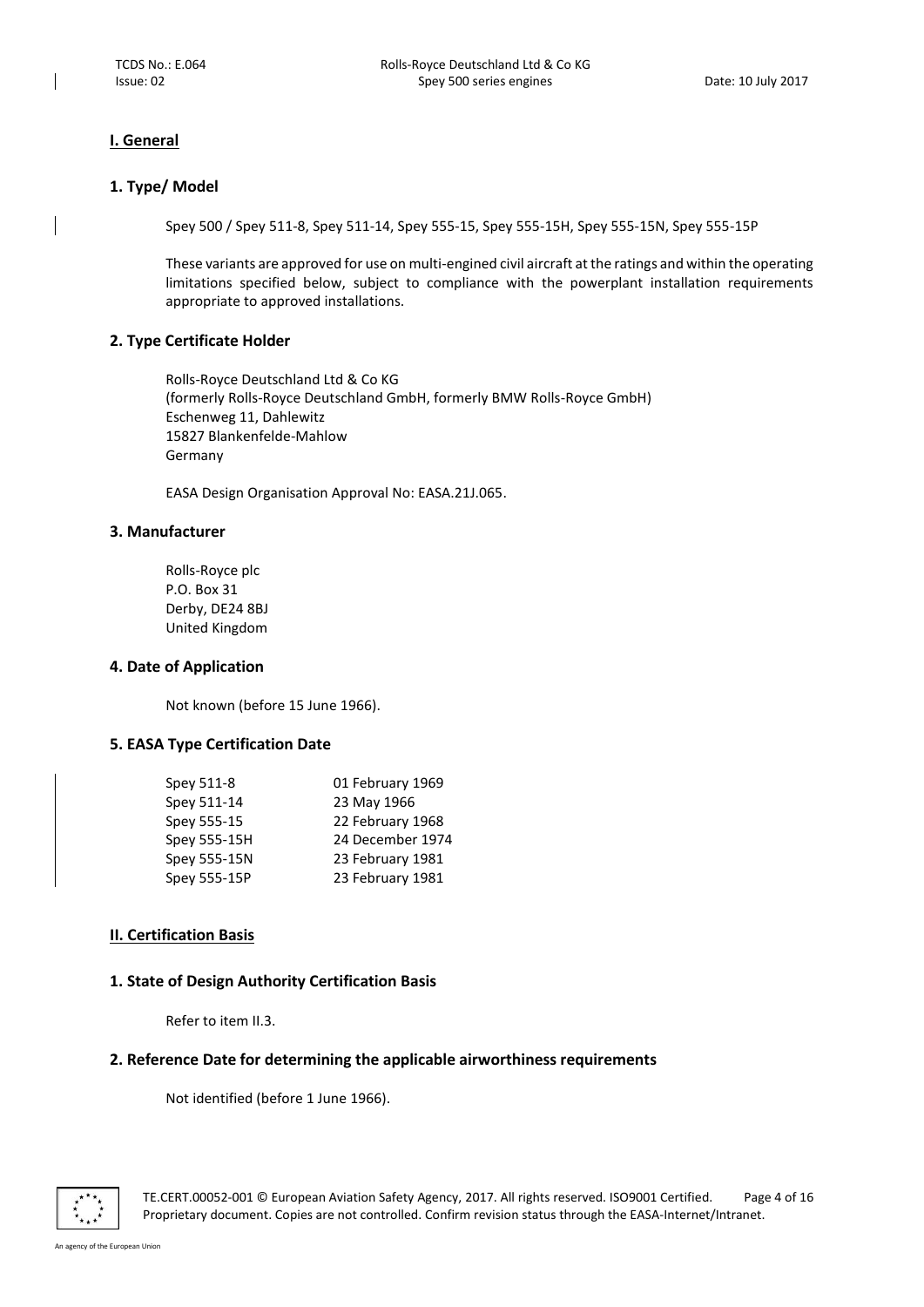## <span id="page-3-0"></span>**I. General**

## <span id="page-3-1"></span>**1. Type/ Model**

Spey 500 / Spey 511-8, Spey 511-14, Spey 555-15, Spey 555-15H, Spey 555-15N, Spey 555-15P

These variants are approved for use on multi-engined civil aircraft at the ratings and within the operating limitations specified below, subject to compliance with the powerplant installation requirements appropriate to approved installations.

### <span id="page-3-2"></span>**2. Type Certificate Holder**

Rolls-Royce Deutschland Ltd & Co KG (formerly Rolls-Royce Deutschland GmbH, formerly BMW Rolls-Royce GmbH) Eschenweg 11, Dahlewitz 15827 Blankenfelde-Mahlow Germany

EASA Design Organisation Approval No: EASA.21J.065.

#### <span id="page-3-3"></span>**3. Manufacturer**

Rolls-Royce plc P.O. Box 31 Derby, DE24 8BJ United Kingdom

#### <span id="page-3-4"></span>**4. Date of Application**

Not known (before 15 June 1966).

#### <span id="page-3-5"></span>**5. EASA Type Certification Date**

| Spey 511-8   | 01 February 1969 |
|--------------|------------------|
| Spey 511-14  | 23 May 1966      |
| Spey 555-15  | 22 February 1968 |
| Spey 555-15H | 24 December 1974 |
| Spey 555-15N | 23 February 1981 |
| Spey 555-15P | 23 February 1981 |

## <span id="page-3-6"></span>**II. Certification Basis**

#### <span id="page-3-7"></span>**1. State of Design Authority Certification Basis**

Refer to item II.3.

#### <span id="page-3-8"></span>**2. Reference Date for determining the applicable airworthiness requirements**

Not identified (before 1 June 1966).



TE.CERT.00052-001 © European Aviation Safety Agency, 2017. All rights reserved. ISO9001 Certified. Page 4 of 16 Proprietary document. Copies are not controlled. Confirm revision status through the EASA-Internet/Intranet.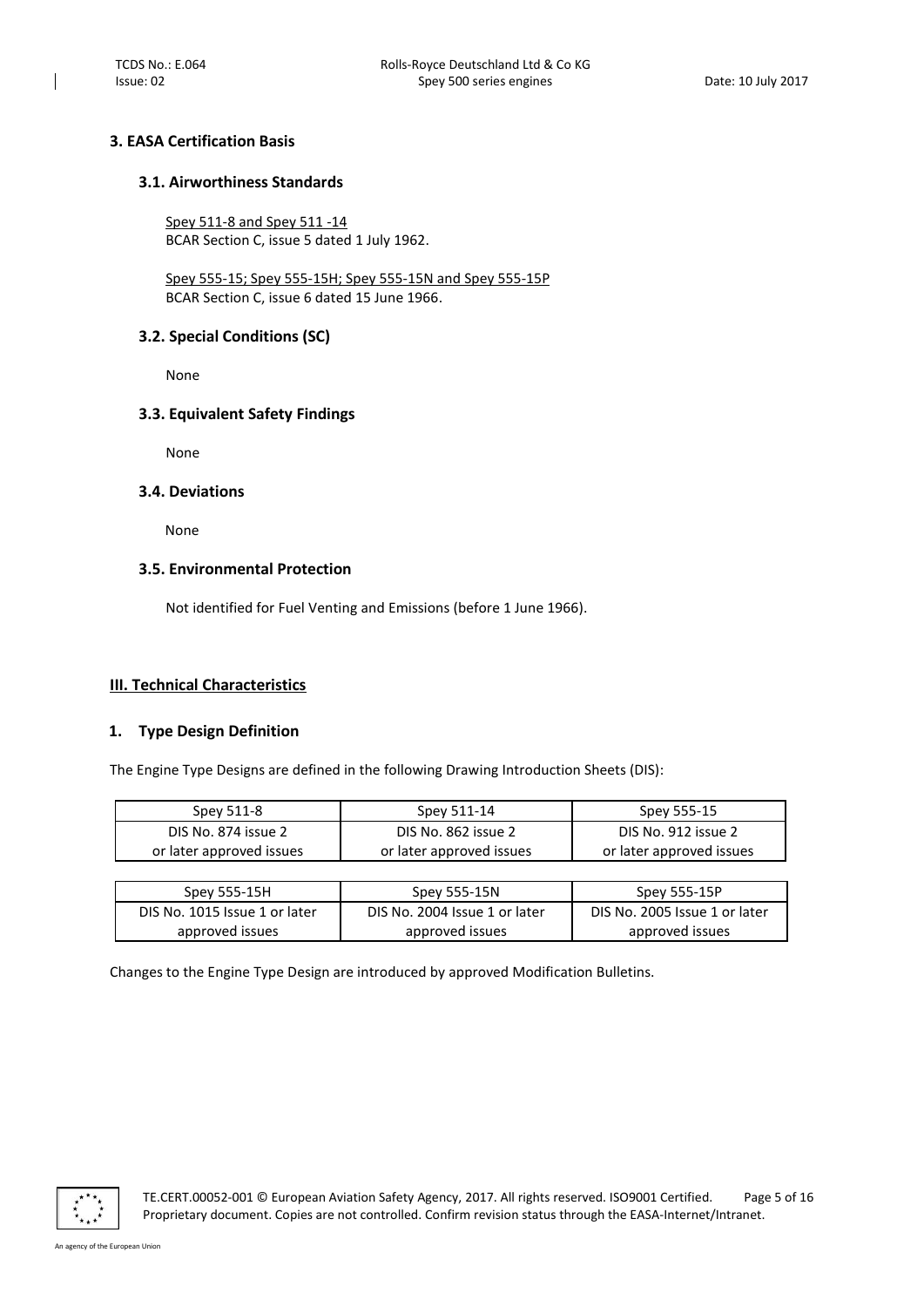## <span id="page-4-0"></span>**3. EASA Certification Basis**

## <span id="page-4-1"></span>**3.1. Airworthiness Standards**

Spey 511-8 and Spey 511 -14 BCAR Section C, issue 5 dated 1 July 1962.

Spey 555-15; Spey 555-15H; Spey 555-15N and Spey 555-15P BCAR Section C, issue 6 dated 15 June 1966.

### <span id="page-4-2"></span>**3.2. Special Conditions (SC)**

None

### <span id="page-4-3"></span>**3.3. Equivalent Safety Findings**

None

#### <span id="page-4-4"></span>**3.4. Deviations**

None

## <span id="page-4-5"></span>**3.5. Environmental Protection**

Not identified for Fuel Venting and Emissions (before 1 June 1966).

## <span id="page-4-6"></span>**III. Technical Characteristics**

#### <span id="page-4-8"></span><span id="page-4-7"></span>**1. Type Design Definition**

The Engine Type Designs are defined in the following Drawing Introduction Sheets (DIS):

| Spey 511-8               | Spey 511-14              | Spey 555-15              |
|--------------------------|--------------------------|--------------------------|
| DIS No. 874 issue 2      | DIS No. 862 issue 2      | DIS No. 912 issue 2      |
| or later approved issues | or later approved issues | or later approved issues |

| Spey 555-15H                  | Spey 555-15N                  | Spey 555-15P                  |
|-------------------------------|-------------------------------|-------------------------------|
| DIS No. 1015 Issue 1 or later | DIS No. 2004 Issue 1 or later | DIS No. 2005 Issue 1 or later |
| approved issues               | approved issues               | approved issues               |

Changes to the Engine Type Design are introduced by approved Modification Bulletins.

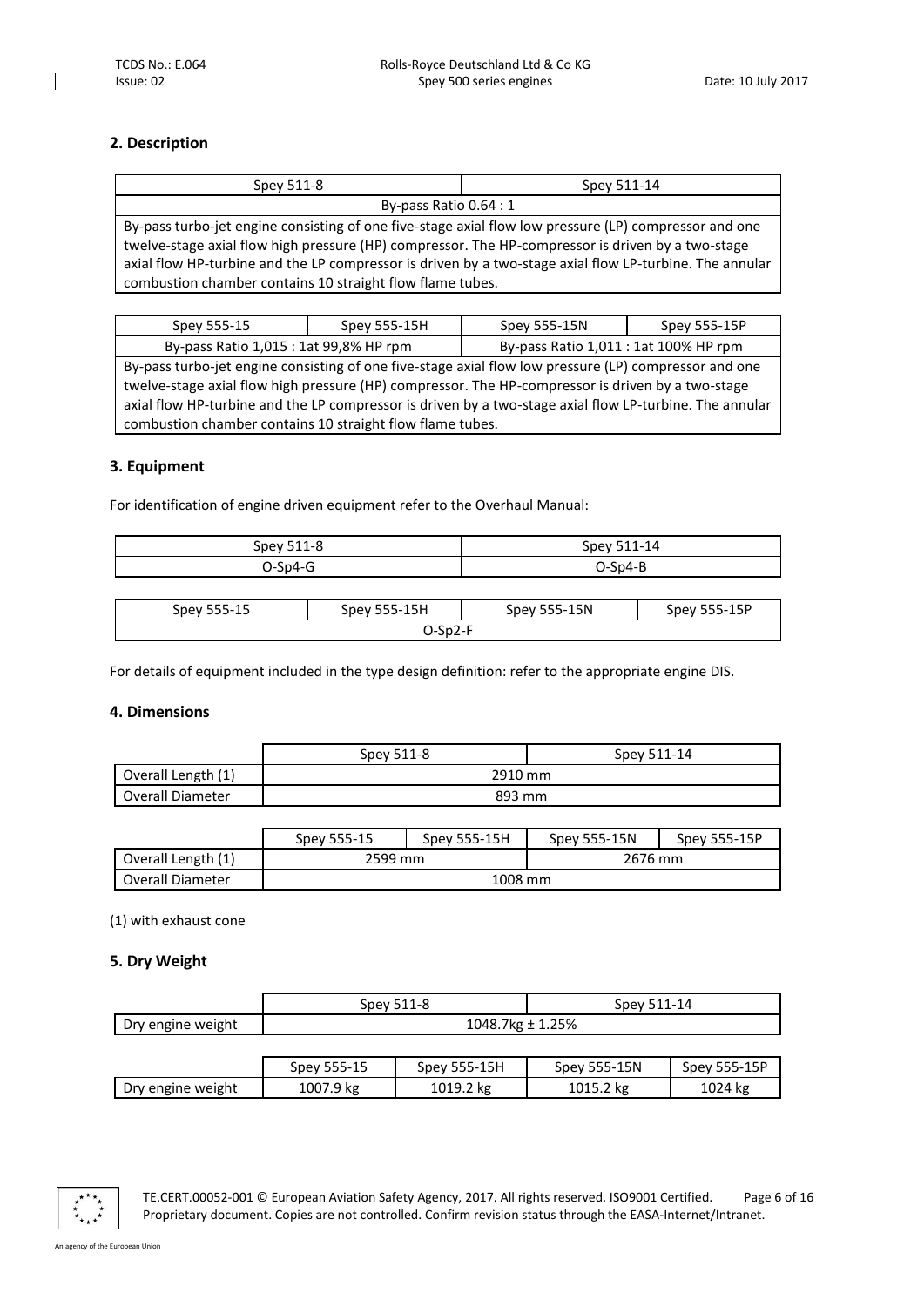## **2. Description**

| Spey 511-8                                                                                              | Spey 511-14 |  |
|---------------------------------------------------------------------------------------------------------|-------------|--|
| By-pass Ratio $0.64:1$                                                                                  |             |  |
| By-pass turbo-jet engine consisting of one five-stage axial flow low pressure (LP) compressor and one   |             |  |
| twelve-stage axial flow high pressure (HP) compressor. The HP-compressor is driven by a two-stage       |             |  |
| axial flow HP-turbine and the LP compressor is driven by a two-stage axial flow LP-turbine. The annular |             |  |
| combustion chamber contains 10 straight flow flame tubes.                                               |             |  |

| Spey 555-15                                                                                             | Spey 555-15H | Spey 555-15N<br>Spey 555-15P          |  |
|---------------------------------------------------------------------------------------------------------|--------------|---------------------------------------|--|
| By-pass Ratio 1,015 : 1at 99,8% HP rpm                                                                  |              | By-pass Ratio 1,011 : 1at 100% HP rpm |  |
| By-pass turbo-jet engine consisting of one five-stage axial flow low pressure (LP) compressor and one   |              |                                       |  |
| twelve-stage axial flow high pressure (HP) compressor. The HP-compressor is driven by a two-stage       |              |                                       |  |
| axial flow HP-turbine and the LP compressor is driven by a two-stage axial flow LP-turbine. The annular |              |                                       |  |
| combustion chamber contains 10 straight flow flame tubes.                                               |              |                                       |  |

## <span id="page-5-0"></span>**3. Equipment**

For identification of engine driven equipment refer to the Overhaul Manual:

| Spey 511-8                  |           | Spey 511-14  |              |
|-----------------------------|-----------|--------------|--------------|
| $O-Sp4-G$                   |           | $O-Sp4-B$    |              |
|                             |           |              |              |
| Spey 555-15H<br>Spey 555-15 |           | Spey 555-15N | Spey 555-15P |
|                             | $O-Sp2-F$ |              |              |

For details of equipment included in the type design definition: refer to the appropriate engine DIS.

#### <span id="page-5-2"></span><span id="page-5-1"></span>**4. Dimensions**

|                    | Spey 511-8 | Spey 511-14 |
|--------------------|------------|-------------|
| Overall Length (1) | 2910 mm    |             |
| Overall Diameter   | 893 mm     |             |

|                         | Spey 555-15 | Spev 555-15H | Spev 555-15N | Spev 555-15P |
|-------------------------|-------------|--------------|--------------|--------------|
| Overall Length (1)      | 2599 mm     |              | 2676 mm      |              |
| <b>Overall Diameter</b> | 1008 mm     |              |              |              |

(1) with exhaust cone

#### **5. Dry Weight**

|                   | Spey 511-8             | Spey 511-14 |  |
|-------------------|------------------------|-------------|--|
| Dry engine weight | 1048.7 $kg \pm 1.25\%$ |             |  |
|                   |                        |             |  |

|                   | Spey 555-15 | Spev 555-15H | Spey 555-15N | Spey 555-15P |
|-------------------|-------------|--------------|--------------|--------------|
| Dry engine weight | 1007.9 kg   | 1019.2 kg    | 1015.2 kg    | 1024 kg      |



TE.CERT.00052-001 © European Aviation Safety Agency, 2017. All rights reserved. ISO9001 Certified. Page 6 of 16 Proprietary document. Copies are not controlled. Confirm revision status through the EASA-Internet/Intranet.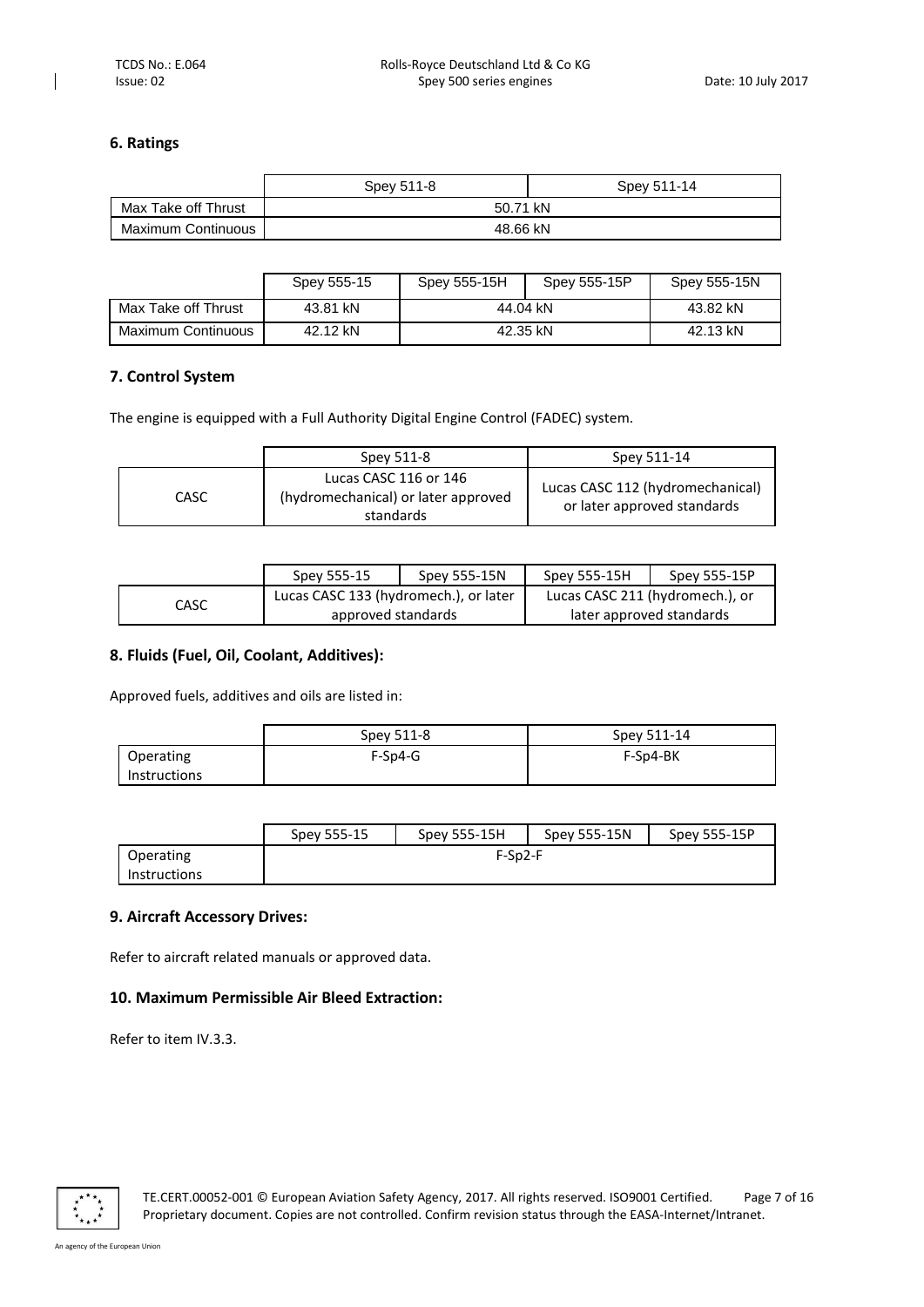#### <span id="page-6-0"></span>**6. Ratings**

|                     | Spey 511-8 | Spey 511-14 |
|---------------------|------------|-------------|
| Max Take off Thrust | 50.71 kN   |             |
| Maximum Continuous  | 48.66 kN   |             |

|                     | Spey 555-15 | Spey 555-15H | Spey 555-15P | Spey 555-15N |
|---------------------|-------------|--------------|--------------|--------------|
| Max Take off Thrust | 43.81 kN    | 44.04 kN     |              | 43.82 kN     |
| Maximum Continuous  | 42.12 kN    | 42.35 kN     |              | 42.13 kN     |

## <span id="page-6-1"></span>**7. Control System**

The engine is equipped with a Full Authority Digital Engine Control (FADEC) system.

|      | Spey 511-8                                                                | Spey 511-14                                                     |
|------|---------------------------------------------------------------------------|-----------------------------------------------------------------|
| CASC | Lucas CASC 116 or 146<br>(hydromechanical) or later approved<br>standards | Lucas CASC 112 (hydromechanical)<br>or later approved standards |

|      | Spey 555-15                           | Spey 555-15N | Spey 555-15H                    | Spey 555-15P             |
|------|---------------------------------------|--------------|---------------------------------|--------------------------|
| CASC | Lucas CASC 133 (hydromech.), or later |              | Lucas CASC 211 (hydromech.), or |                          |
|      | approved standards                    |              |                                 | later approved standards |

#### <span id="page-6-2"></span>**8. Fluids (Fuel, Oil, Coolant, Additives):**

Approved fuels, additives and oils are listed in:

|              | Spey 511-8 | Spey 511-14 |
|--------------|------------|-------------|
| Operating    | $F-Sp4-G$  | F-Sp4-BK    |
| Instructions |            |             |

|              | Spey 555-15 | Spev 555-15H | Spey 555-15N | Spey 555-15P |
|--------------|-------------|--------------|--------------|--------------|
| Operating    |             | $F-Sp2-F$    |              |              |
| Instructions |             |              |              |              |

## <span id="page-6-3"></span>**9. Aircraft Accessory Drives:**

Refer to aircraft related manuals or approved data.

#### <span id="page-6-4"></span>**10. Maximum Permissible Air Bleed Extraction:**

Refer to item IV.3.3.



TE.CERT.00052-001 © European Aviation Safety Agency, 2017. All rights reserved. ISO9001 Certified. Page 7 of 16 Proprietary document. Copies are not controlled. Confirm revision status through the EASA-Internet/Intranet.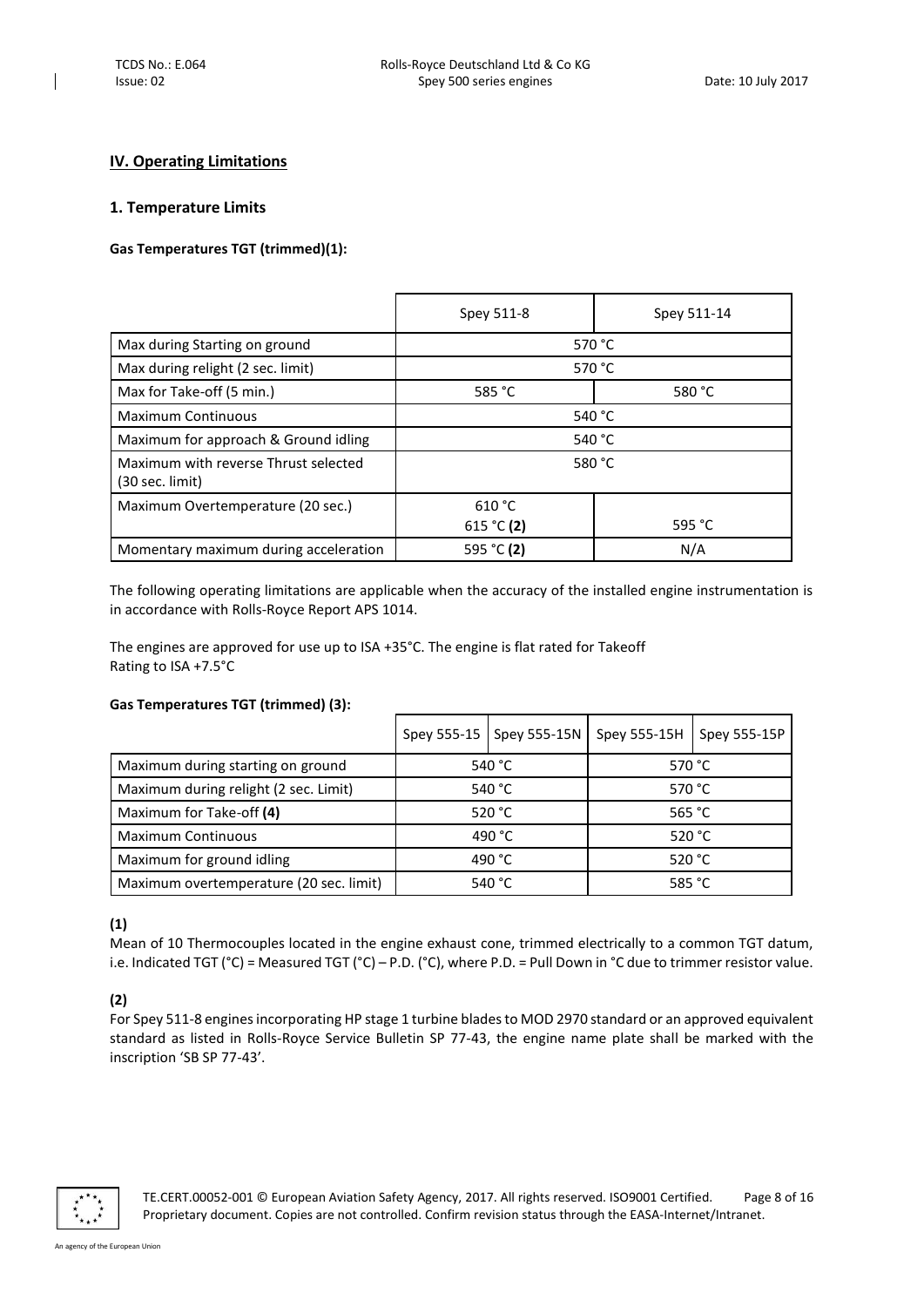## <span id="page-7-0"></span>**IV. Operating Limitations**

#### <span id="page-7-1"></span>**1. Temperature Limits**

## **Gas Temperatures TGT (trimmed)(1):**

|                                                         | Spey 511-8                       | Spey 511-14      |  |  |  |
|---------------------------------------------------------|----------------------------------|------------------|--|--|--|
| Max during Starting on ground                           |                                  | 570 °C           |  |  |  |
| Max during relight (2 sec. limit)                       |                                  | 570 °C           |  |  |  |
| Max for Take-off (5 min.)                               | 585 $°C$                         | 580 $^{\circ}$ C |  |  |  |
| <b>Maximum Continuous</b>                               | 540 $^{\circ}$ C                 |                  |  |  |  |
| Maximum for approach & Ground idling                    | 540 $^{\circ}$ C                 |                  |  |  |  |
| Maximum with reverse Thrust selected<br>(30 sec. limit) | 580 °C                           |                  |  |  |  |
| Maximum Overtemperature (20 sec.)                       | 610 °C<br>595 $°C$<br>615 °C (2) |                  |  |  |  |
| Momentary maximum during acceleration                   | 595 °C (2)                       | N/A              |  |  |  |

The following operating limitations are applicable when the accuracy of the installed engine instrumentation is in accordance with Rolls-Royce Report APS 1014.

The engines are approved for use up to ISA +35°C. The engine is flat rated for Takeoff Rating to ISA +7.5°C

#### **Gas Temperatures TGT (trimmed) (3):**

|                                         |                  | Spey 555-15   Spey 555-15N | Spey 555-15H     | Spey 555-15P |
|-----------------------------------------|------------------|----------------------------|------------------|--------------|
| Maximum during starting on ground       |                  | 540 $^{\circ}$ C           | 570 °C           |              |
| Maximum during relight (2 sec. Limit)   | 540 $^{\circ}$ C |                            | 570 °C           |              |
| Maximum for Take-off (4)                |                  | 520 $^{\circ}$ C           | 565 $^{\circ}$ C |              |
| <b>Maximum Continuous</b>               |                  | 490 °C                     | 520 $^{\circ}$ C |              |
| Maximum for ground idling               |                  | 490 °C                     | 520 $°C$         |              |
| Maximum overtemperature (20 sec. limit) |                  | 540 °C                     | 585 °C           |              |

**(1)**

Mean of 10 Thermocouples located in the engine exhaust cone, trimmed electrically to a common TGT datum, i.e. Indicated TGT (°C) = Measured TGT (°C) – P.D. (°C), where P.D. = Pull Down in °C due to trimmer resistor value.

**(2)**

For Spey 511-8 engines incorporating HP stage 1 turbine blades to MOD 2970 standard or an approved equivalent standard as listed in Rolls-Royce Service Bulletin SP 77-43, the engine name plate shall be marked with the inscription 'SB SP 77-43'.



TE.CERT.00052-001 © European Aviation Safety Agency, 2017. All rights reserved. ISO9001 Certified. Page 8 of 16 Proprietary document. Copies are not controlled. Confirm revision status through the EASA-Internet/Intranet.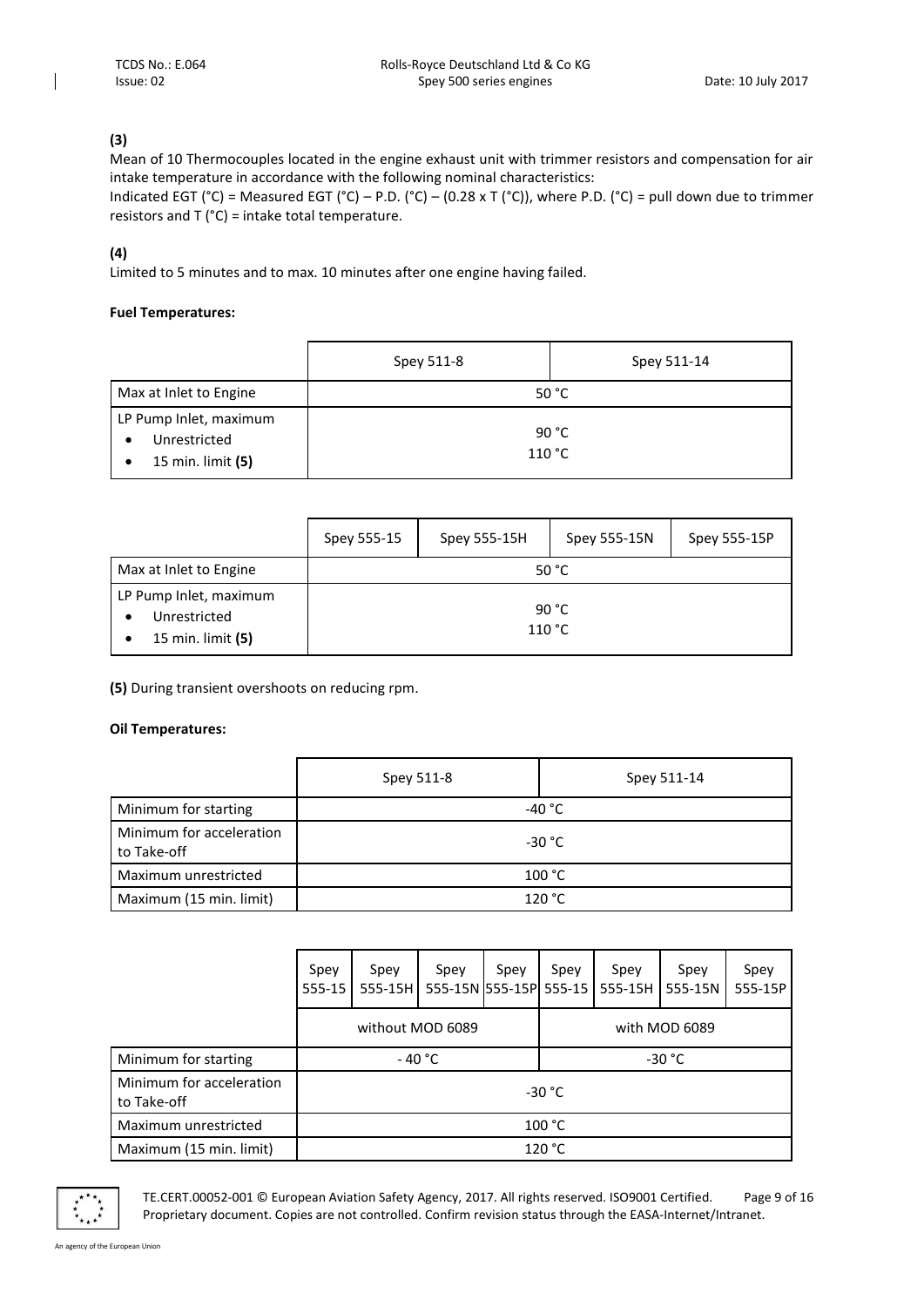## **(3)**

Mean of 10 Thermocouples located in the engine exhaust unit with trimmer resistors and compensation for air intake temperature in accordance with the following nominal characteristics:

Indicated EGT (°C) = Measured EGT (°C) – P.D. (°C) – (0.28 x T (°C)), where P.D. (°C) = pull down due to trimmer resistors and  $T$  ( $^{\circ}$ C) = intake total temperature.

## **(4)**

Limited to 5 minutes and to max. 10 minutes after one engine having failed.

## **Fuel Temperatures:**

|                                                             | Spey 511-8 | Spey 511-14     |
|-------------------------------------------------------------|------------|-----------------|
| Max at Inlet to Engine                                      |            | 50 $^{\circ}$ C |
| LP Pump Inlet, maximum<br>Unrestricted<br>15 min. limit (5) | 110 °C     | 90 °C           |

|                                                             | Spey 555-15     | Spey 555-15H | Spey 555-15N | Spey 555-15P |  |  |
|-------------------------------------------------------------|-----------------|--------------|--------------|--------------|--|--|
| Max at Inlet to Engine                                      | 50 $^{\circ}$ C |              |              |              |  |  |
| LP Pump Inlet, maximum<br>Unrestricted<br>15 min. limit (5) | 90 °C<br>110 °C |              |              |              |  |  |

**(5)** During transient overshoots on reducing rpm.

# **Oil Temperatures:**

|                                         | Spey 511-8 | Spey 511-14 |  |  |
|-----------------------------------------|------------|-------------|--|--|
| Minimum for starting                    | -40 °C     |             |  |  |
| Minimum for acceleration<br>to Take-off | $-30 °C$   |             |  |  |
| Maximum unrestricted                    | 100 °C     |             |  |  |
| Maximum (15 min. limit)                 | 120 °C     |             |  |  |

|                                         | Spey<br>555-15 | Spey<br>$555-15H$ | Spey             | Spey     | Spey | Spey<br>555-15N 555-15P 555-15   555-15H | Spey<br>555-15N | Spey<br>555-15P |
|-----------------------------------------|----------------|-------------------|------------------|----------|------|------------------------------------------|-----------------|-----------------|
|                                         |                |                   | without MOD 6089 |          |      |                                          | with MOD 6089   |                 |
| Minimum for starting                    | $-40 °C$       |                   |                  | $-30 °C$ |      |                                          |                 |                 |
| Minimum for acceleration<br>to Take-off | $-30 °C$       |                   |                  |          |      |                                          |                 |                 |
| Maximum unrestricted                    | 100 °C         |                   |                  |          |      |                                          |                 |                 |
| Maximum (15 min. limit)                 | 120 °C         |                   |                  |          |      |                                          |                 |                 |



TE.CERT.00052-001 © European Aviation Safety Agency, 2017. All rights reserved. ISO9001 Certified. Page 9 of 16 Proprietary document. Copies are not controlled. Confirm revision status through the EASA-Internet/Intranet.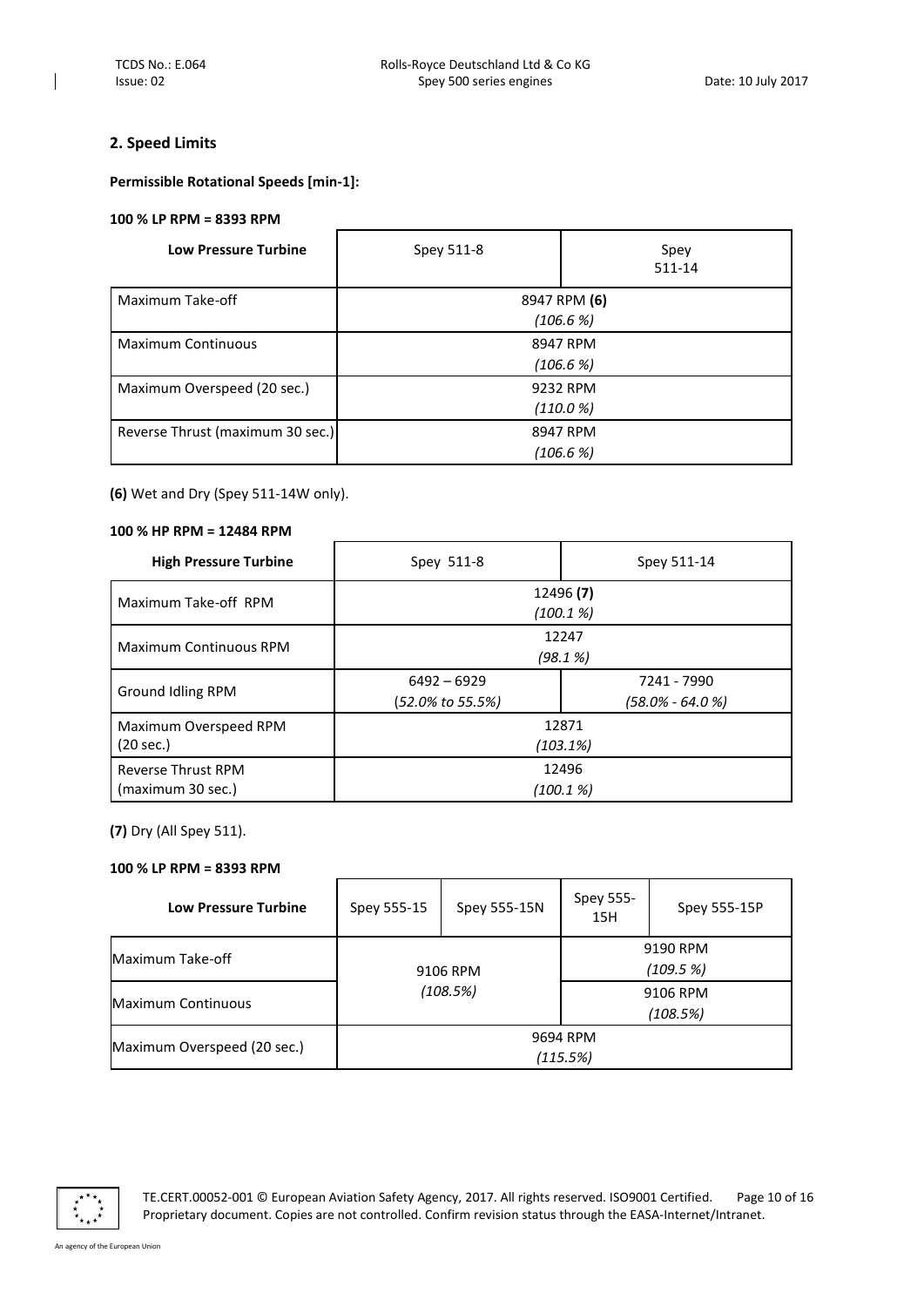## <span id="page-9-0"></span>**2. Speed Limits**

## **Permissible Rotational Speeds [min-1]:**

#### **100 % LP RPM = 8393 RPM**

| <b>Low Pressure Turbine</b>      | Spey 511-8 | Spey<br>511-14 |  |  |
|----------------------------------|------------|----------------|--|--|
| Maximum Take-off                 |            | 8947 RPM (6)   |  |  |
|                                  |            | (106.6%)       |  |  |
| <b>Maximum Continuous</b>        | 8947 RPM   |                |  |  |
|                                  | (106.6%)   |                |  |  |
| Maximum Overspeed (20 sec.)      | 9232 RPM   |                |  |  |
|                                  | (110.0 %)  |                |  |  |
| Reverse Thrust (maximum 30 sec.) | 8947 RPM   |                |  |  |
|                                  |            | (106.6 %)      |  |  |

**(6)** Wet and Dry (Spey 511-14W only).

#### **100 % HP RPM = 12484 RPM**

| <b>High Pressure Turbine</b>                   | Spey 511-8                        | Spey 511-14                     |  |  |
|------------------------------------------------|-----------------------------------|---------------------------------|--|--|
| Maximum Take-off RPM                           | 12496 (7)<br>(100.1 %)            |                                 |  |  |
| Maximum Continuous RPM                         | 12247<br>(98.1%)                  |                                 |  |  |
| Ground Idling RPM                              | $6492 - 6929$<br>(52.0% to 55.5%) | 7241 - 7990<br>(58.0% - 64.0 %) |  |  |
| Maximum Overspeed RPM<br>(20 sec.)             | 12871<br>(103.1%)                 |                                 |  |  |
| <b>Reverse Thrust RPM</b><br>(maximum 30 sec.) | 12496<br>(100.1 %)                |                                 |  |  |

**(7)** Dry (All Spey 511).

#### **100 % LP RPM = 8393 RPM**

| <b>Low Pressure Turbine</b> | Spey 555-15          | Spey 555-15N | Spey 555-<br>15H      | Spey 555-15P |
|-----------------------------|----------------------|--------------|-----------------------|--------------|
| Maximum Take-off            | 9106 RPM<br>(108.5%) |              | 9190 RPM<br>(109.5 %) |              |
| <b>Maximum Continuous</b>   |                      |              | 9106 RPM<br>(108.5%)  |              |
| Maximum Overspeed (20 sec.) | 9694 RPM<br>(115.5%) |              |                       |              |



TE.CERT.00052-001 © European Aviation Safety Agency, 2017. All rights reserved. ISO9001 Certified. Page 10 of 16 Proprietary document. Copies are not controlled. Confirm revision status through the EASA-Internet/Intranet.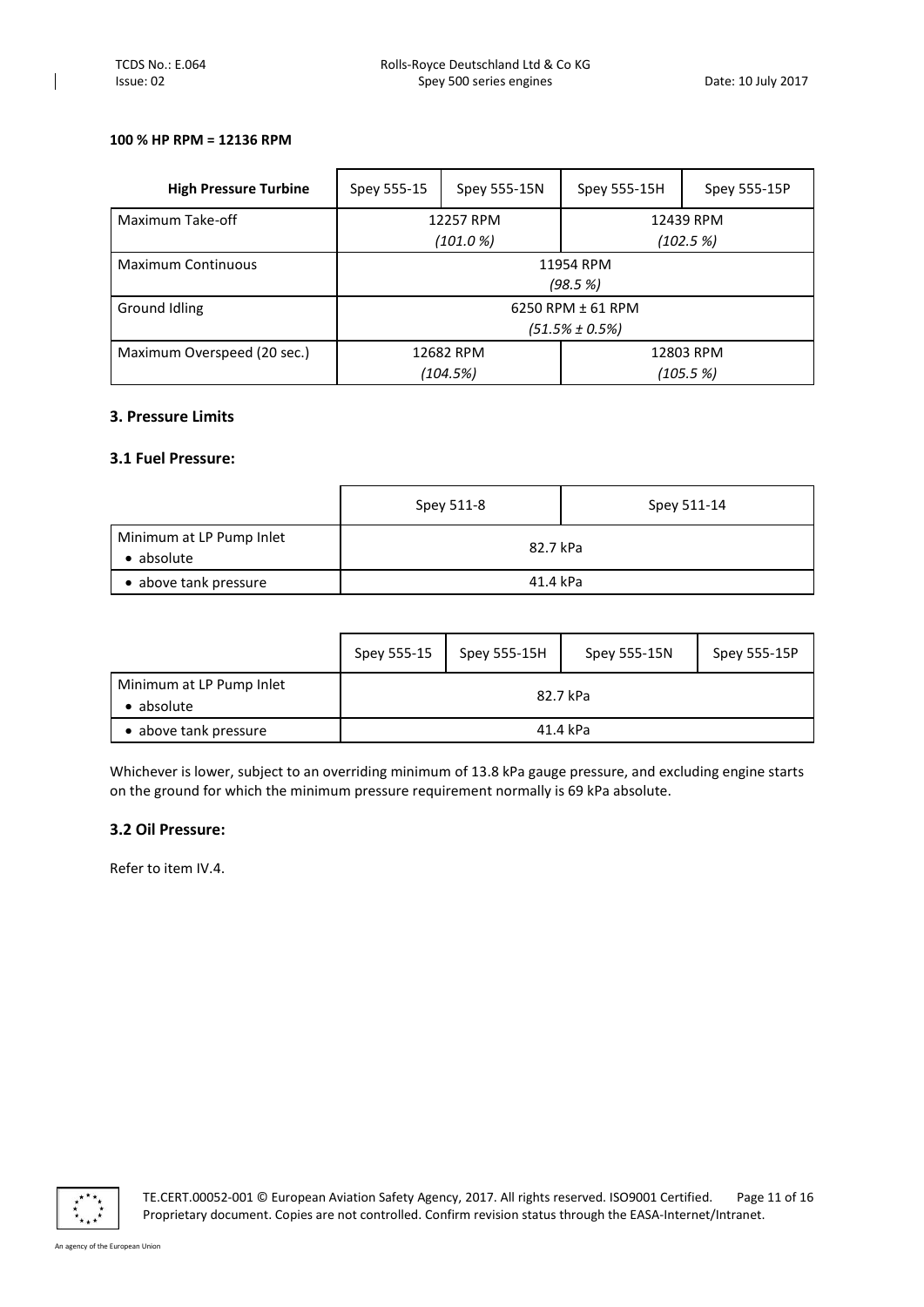#### **100 % HP RPM = 12136 RPM**

| <b>High Pressure Turbine</b> | Spey 555-15                                     | Spey 555-15N | Spey 555-15H | Spey 555-15P |  |                       |
|------------------------------|-------------------------------------------------|--------------|--------------|--------------|--|-----------------------|
| Maximum Take-off             | 12257 RPM<br>(101.0 %)                          |              |              |              |  | 12439 RPM<br>(102.5%) |
| <b>Maximum Continuous</b>    | 11954 RPM<br>(98.5 %)                           |              |              |              |  |                       |
| Ground Idling                | $6250$ RPM $\pm$ 61 RPM<br>$(51.5\% \pm 0.5\%)$ |              |              |              |  |                       |
| Maximum Overspeed (20 sec.)  | 12682 RPM<br>12803 RPM<br>(104.5%)<br>(105.5 %) |              |              |              |  |                       |

#### <span id="page-10-0"></span>**3. Pressure Limits**

#### <span id="page-10-1"></span>**3.1 Fuel Pressure:**

|                                                | Spey 511-8 | Spey 511-14 |  |  |
|------------------------------------------------|------------|-------------|--|--|
| Minimum at LP Pump Inlet<br>$\bullet$ absolute | 82.7 kPa   |             |  |  |
| • above tank pressure                          | 41.4 kPa   |             |  |  |

|                                                | Spey 555-15 | Spey 555-15H | Spey 555-15N | Spey 555-15P |
|------------------------------------------------|-------------|--------------|--------------|--------------|
| Minimum at LP Pump Inlet<br>$\bullet$ absolute | 82.7 kPa    |              |              |              |
| • above tank pressure                          | 41.4 kPa    |              |              |              |

Whichever is lower, subject to an overriding minimum of 13.8 kPa gauge pressure, and excluding engine starts on the ground for which the minimum pressure requirement normally is 69 kPa absolute.

### <span id="page-10-2"></span>**3.2 Oil Pressure:**

Refer to item IV.4.

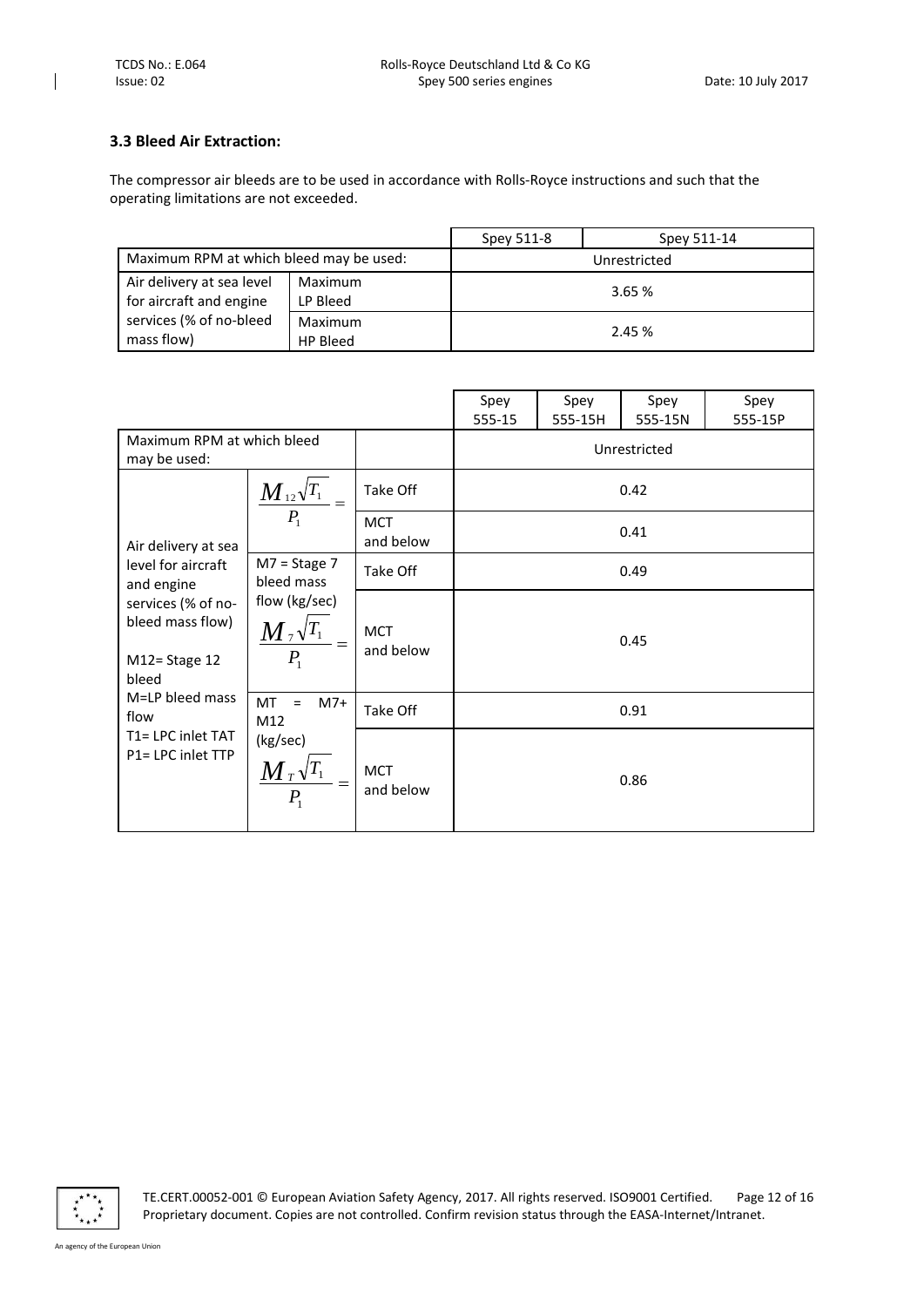## **3.3 Bleed Air Extraction:**

The compressor air bleeds are to be used in accordance with Rolls-Royce instructions and such that the operating limitations are not exceeded.

|                                                      |                            | Spey 511-8   | Spey 511-14 |
|------------------------------------------------------|----------------------------|--------------|-------------|
| Maximum RPM at which bleed may be used:              |                            | Unrestricted |             |
| Air delivery at sea level<br>for aircraft and engine | Maximum<br>LP Bleed        |              | 3.65%       |
| services (% of no-bleed<br>mass flow)                | Maximum<br><b>HP Bleed</b> |              | 2.45 %      |

|                                                                                      |                                                            |                         | Spey<br>555-15 | Spey<br>555-15H | Spey<br>555-15N | Spey<br>555-15P |  |
|--------------------------------------------------------------------------------------|------------------------------------------------------------|-------------------------|----------------|-----------------|-----------------|-----------------|--|
| Maximum RPM at which bleed<br>may be used:                                           |                                                            |                         | Unrestricted   |                 |                 |                 |  |
|                                                                                      | $\frac{M_{12} \sqrt{T_1}}{P_1} =$                          | Take Off                | 0.42           |                 |                 |                 |  |
| Air delivery at sea                                                                  |                                                            | <b>MCT</b><br>and below |                |                 | 0.41            |                 |  |
| level for aircraft<br>and engine                                                     | $M7 = Stage 7$<br>bleed mass                               | Take Off                |                |                 | 0.49            |                 |  |
| flow (kg/sec)<br>services (% of no-<br>bleed mass flow)<br>$M12 =$ Stage 12<br>bleed | $\frac{M_{\tau}\sqrt{T_{1}}}{P_{1}}=$                      | <b>MCT</b><br>and below |                |                 | 0.45            |                 |  |
| M=LP bleed mass<br>flow                                                              | MT<br>$M7+$<br>$=$<br>M12                                  | Take Off                |                |                 | 0.91            |                 |  |
| T1= LPC inlet TAT<br>P1= LPC inlet TTP                                               | (kg/sec)<br>$\frac{1}{P_1}$ $\frac{M_T \sqrt{T_1}}{P_1}$ = | <b>MCT</b><br>and below |                |                 | 0.86            |                 |  |



TE.CERT.00052-001 © European Aviation Safety Agency, 2017. All rights reserved. ISO9001 Certified. Page 12 of 16 Proprietary document. Copies are not controlled. Confirm revision status through the EASA-Internet/Intranet.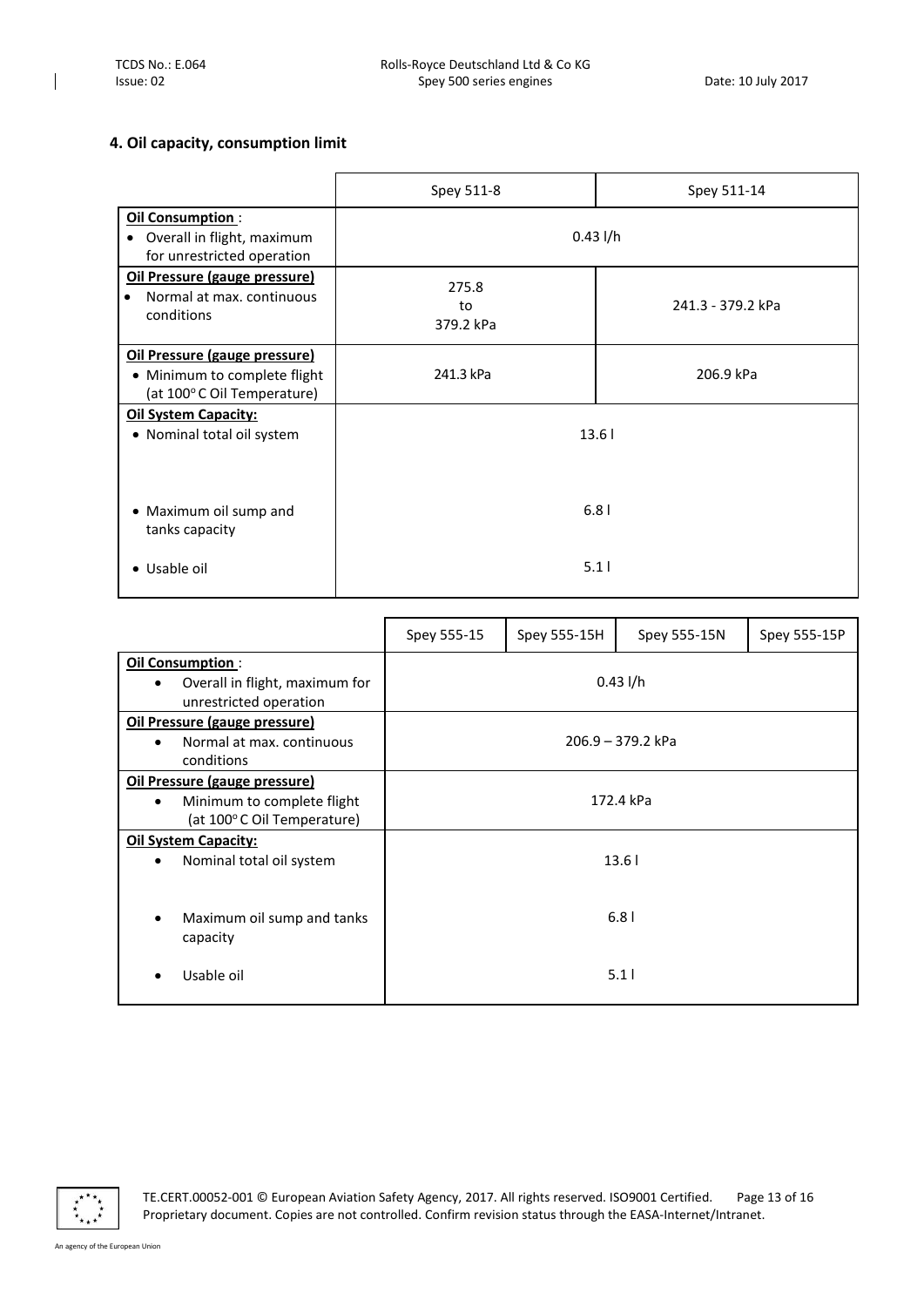## <span id="page-12-0"></span>**4. Oil capacity, consumption limit**

|                                                                                             | Spey 511-8               | Spey 511-14       |  |  |
|---------------------------------------------------------------------------------------------|--------------------------|-------------------|--|--|
| Oil Consumption:<br>• Overall in flight, maximum<br>for unrestricted operation              | $0.43$ l/h               |                   |  |  |
| Oil Pressure (gauge pressure)<br>Normal at max. continuous<br>conditions                    | 275.8<br>to<br>379.2 kPa | 241.3 - 379.2 kPa |  |  |
| Oil Pressure (gauge pressure)<br>• Minimum to complete flight<br>(at 100°C Oil Temperature) | 241.3 kPa                | 206.9 kPa         |  |  |
| <b>Oil System Capacity:</b><br>• Nominal total oil system                                   | 13.6                     |                   |  |  |
| • Maximum oil sump and<br>tanks capacity                                                    | 6.81                     |                   |  |  |
| • Usable oil                                                                                | 5.1                      |                   |  |  |

|   |                                                                                           | Spey 555-15       | Spey 555-15H | Spey 555-15N | Spey 555-15P |  |
|---|-------------------------------------------------------------------------------------------|-------------------|--------------|--------------|--------------|--|
| ٠ | Oil Consumption:<br>Overall in flight, maximum for<br>unrestricted operation              | $0.43$ I/h        |              |              |              |  |
|   | Oil Pressure (gauge pressure)<br>Normal at max. continuous<br>conditions                  | 206.9 - 379.2 kPa |              |              |              |  |
| ٠ | Oil Pressure (gauge pressure)<br>Minimum to complete flight<br>(at 100°C Oil Temperature) | 172.4 kPa         |              |              |              |  |
|   | <b>Oil System Capacity:</b><br>Nominal total oil system                                   | 13.61             |              |              |              |  |
|   | Maximum oil sump and tanks<br>capacity                                                    | 6.8 <sub>1</sub>  |              |              |              |  |
|   | Usable oil                                                                                | 5.1               |              |              |              |  |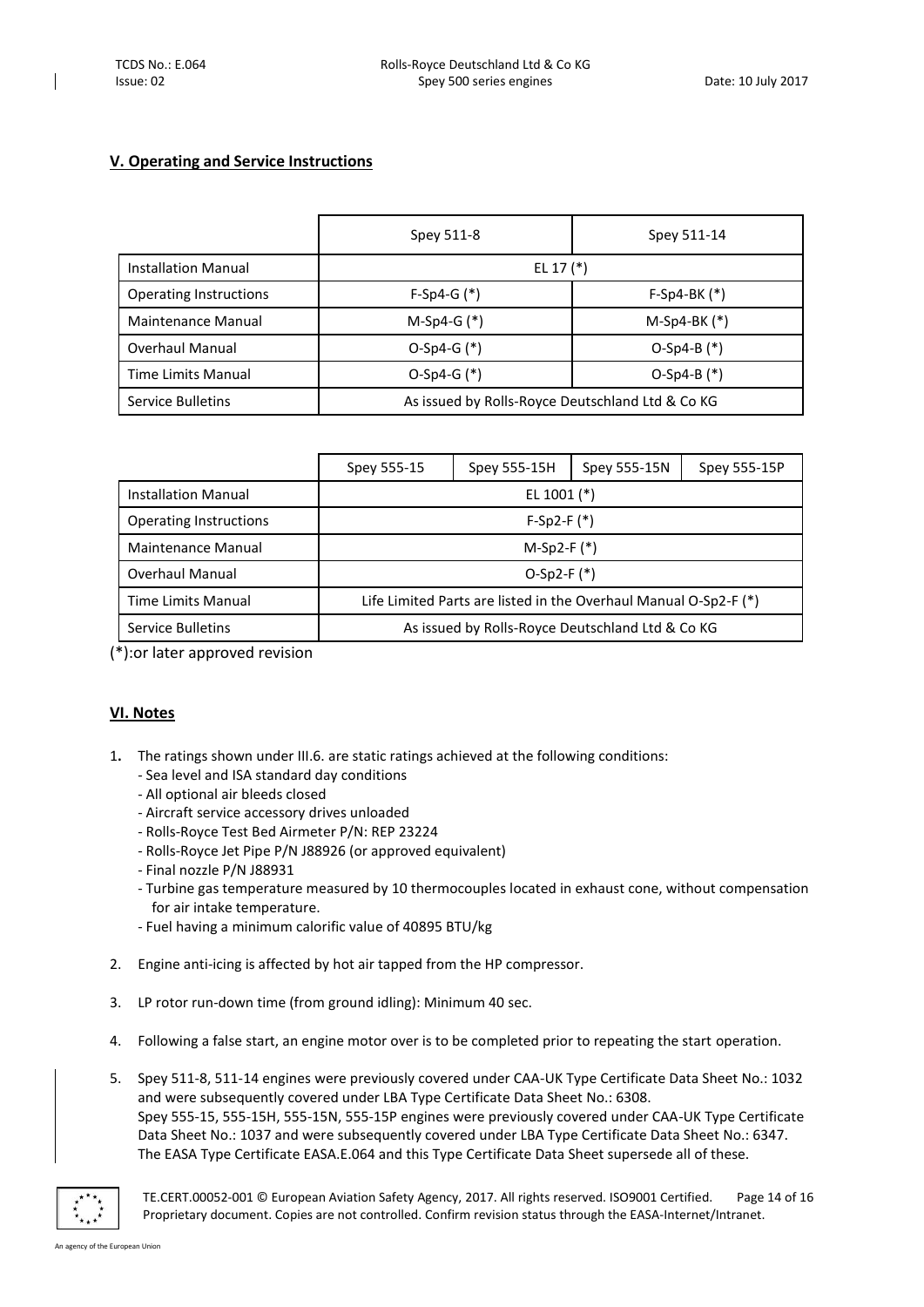# <span id="page-13-0"></span>**V. Operating and Service Instructions**

|                               | Spey 511-8                                       | Spey 511-14    |  |  |
|-------------------------------|--------------------------------------------------|----------------|--|--|
| Installation Manual           | EL 17 $(*)$                                      |                |  |  |
| <b>Operating Instructions</b> | $F-Sp4-G (*)$                                    | $F-Sp4-BK (*)$ |  |  |
| Maintenance Manual            | $M-Sp4-G (*)$                                    | $M-Sp4-BK (*)$ |  |  |
| <b>Overhaul Manual</b>        | $O-Sp4-G (*)$                                    | $O-Sp4-B$ (*)  |  |  |
| Time Limits Manual            | $O-Sp4-G (*)$                                    | $O-Sp4-B$ (*)  |  |  |
| Service Bulletins             | As issued by Rolls-Royce Deutschland Ltd & Co KG |                |  |  |

|                               | Spey 555-15                                                      | Spey 555-15H | Spey 555-15N | Spey 555-15P |  |
|-------------------------------|------------------------------------------------------------------|--------------|--------------|--------------|--|
| Installation Manual           | EL 1001 $(*)$                                                    |              |              |              |  |
| <b>Operating Instructions</b> | $F-Sp2-F(*)$                                                     |              |              |              |  |
| <b>Maintenance Manual</b>     | $M-Sp2-F (*)$                                                    |              |              |              |  |
| <b>Overhaul Manual</b>        | $O-Sp2-F(*)$                                                     |              |              |              |  |
| Time Limits Manual            | Life Limited Parts are listed in the Overhaul Manual O-Sp2-F (*) |              |              |              |  |
| Service Bulletins             | As issued by Rolls-Royce Deutschland Ltd & Co KG                 |              |              |              |  |

(\*):or later approved revision

# <span id="page-13-1"></span>**VI. Notes**

- 1**.** The ratings shown under III.6. are static ratings achieved at the following conditions:
	- Sea level and ISA standard day conditions
	- All optional air bleeds closed
	- Aircraft service accessory drives unloaded
	- Rolls-Royce Test Bed Airmeter P/N: REP 23224
	- Rolls-Royce Jet Pipe P/N J88926 (or approved equivalent)
	- Final nozzle P/N J88931
	- Turbine gas temperature measured by 10 thermocouples located in exhaust cone, without compensation for air intake temperature.
	- Fuel having a minimum calorific value of 40895 BTU/kg
- 2. Engine anti-icing is affected by hot air tapped from the HP compressor.
- 3. LP rotor run-down time (from ground idling): Minimum 40 sec.
- 4. Following a false start, an engine motor over is to be completed prior to repeating the start operation.
- 5. Spey 511-8, 511-14 engines were previously covered under CAA-UK Type Certificate Data Sheet No.: 1032 and were subsequently covered under LBA Type Certificate Data Sheet No.: 6308. Spey 555-15, 555-15H, 555-15N, 555-15P engines were previously covered under CAA-UK Type Certificate Data Sheet No.: 1037 and were subsequently covered under LBA Type Certificate Data Sheet No.: 6347. The EASA Type Certificate EASA.E.064 and this Type Certificate Data Sheet supersede all of these.



TE.CERT.00052-001 © European Aviation Safety Agency, 2017. All rights reserved. ISO9001 Certified. Page 14 of 16 Proprietary document. Copies are not controlled. Confirm revision status through the EASA-Internet/Intranet.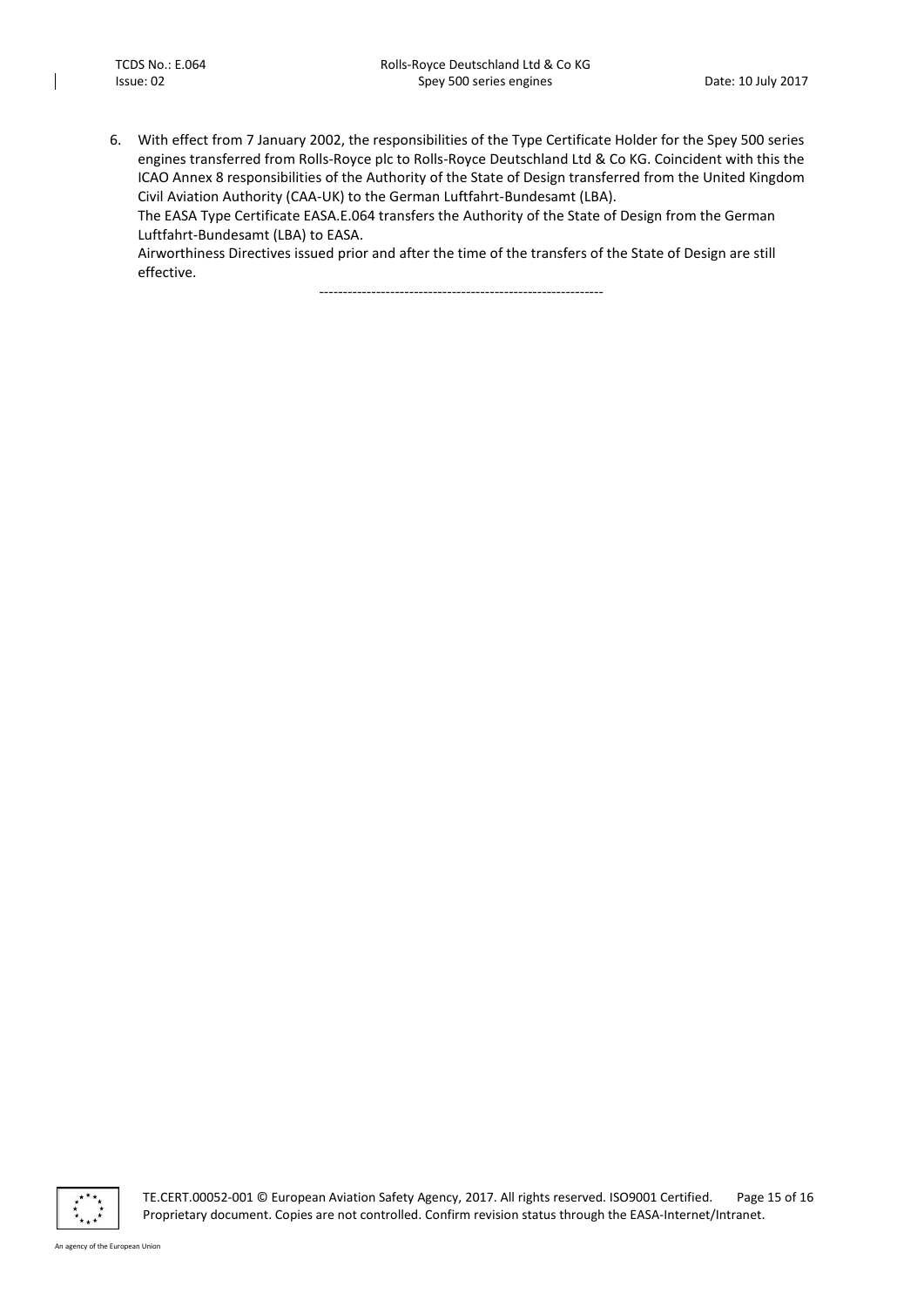6. With effect from 7 January 2002, the responsibilities of the Type Certificate Holder for the Spey 500 series engines transferred from Rolls-Royce plc to Rolls-Royce Deutschland Ltd & Co KG. Coincident with this the ICAO Annex 8 responsibilities of the Authority of the State of Design transferred from the United Kingdom Civil Aviation Authority (CAA-UK) to the German Luftfahrt-Bundesamt (LBA).

The EASA Type Certificate EASA.E.064 transfers the Authority of the State of Design from the German Luftfahrt-Bundesamt (LBA) to EASA.

Airworthiness Directives issued prior and after the time of the transfers of the State of Design are still effective.

------------------------------------------------------------



TE.CERT.00052-001 © European Aviation Safety Agency, 2017. All rights reserved. ISO9001 Certified. Page 15 of 16 Proprietary document. Copies are not controlled. Confirm revision status through the EASA-Internet/Intranet.